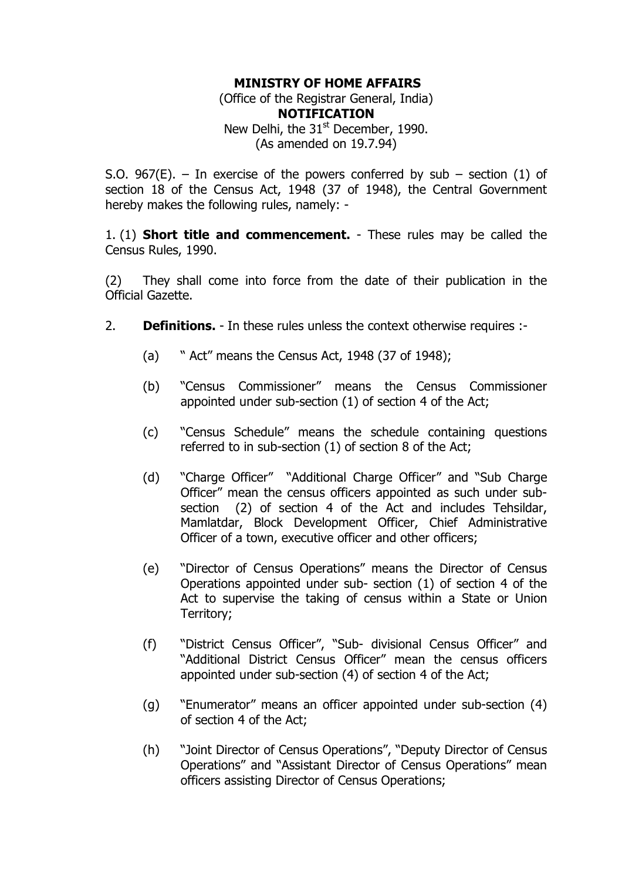## **MINISTRY OF HOME AFFAIRS**

(Office of the Registrar General, India) **NOTIFICATION**  New Delhi, the  $31<sup>st</sup>$  December, 1990. (As amended on 19.7.94)

S.O. 967(E). – In exercise of the powers conferred by sub – section (1) of section 18 of the Census Act, 1948 (37 of 1948), the Central Government hereby makes the following rules, namely: -

1. (1) **Short title and commencement.** - These rules may be called the Census Rules, 1990.

(2) They shall come into force from the date of their publication in the Official Gazette.

- 2. **Definitions.**  In these rules unless the context otherwise requires :-
	- (a)  $\degree$  Act" means the Census Act, 1948 (37 of 1948);
	- (b) "Census Commissioner" means the Census Commissioner appointed under sub-section (1) of section 4 of the Act;
	- (c) "Census Schedule" means the schedule containing questions referred to in sub-section (1) of section 8 of the Act;
	- (d) "Charge Officer" "Additional Charge Officer" and "Sub Charge Officer<sup>"</sup> mean the census officers appointed as such under subsection (2) of section 4 of the Act and includes Tehsildar, Mamlatdar, Block Development Officer, Chief Administrative Officer of a town, executive officer and other officers;
	- (e) "Director of Census Operations" means the Director of Census Operations appointed under sub- section (1) of section 4 of the Act to supervise the taking of census within a State or Union Territory;
	- (f) "District Census Officer", "Sub- divisional Census Officer" and "Additional District Census Officer" mean the census officers appointed under sub-section (4) of section 4 of the Act;
	- $(q)$  "Enumerator" means an officer appointed under sub-section  $(4)$ of section 4 of the Act;
	- (h) "Joint Director of Census Operations", "Deputy Director of Census Operations" and "Assistant Director of Census Operations" mean officers assisting Director of Census Operations;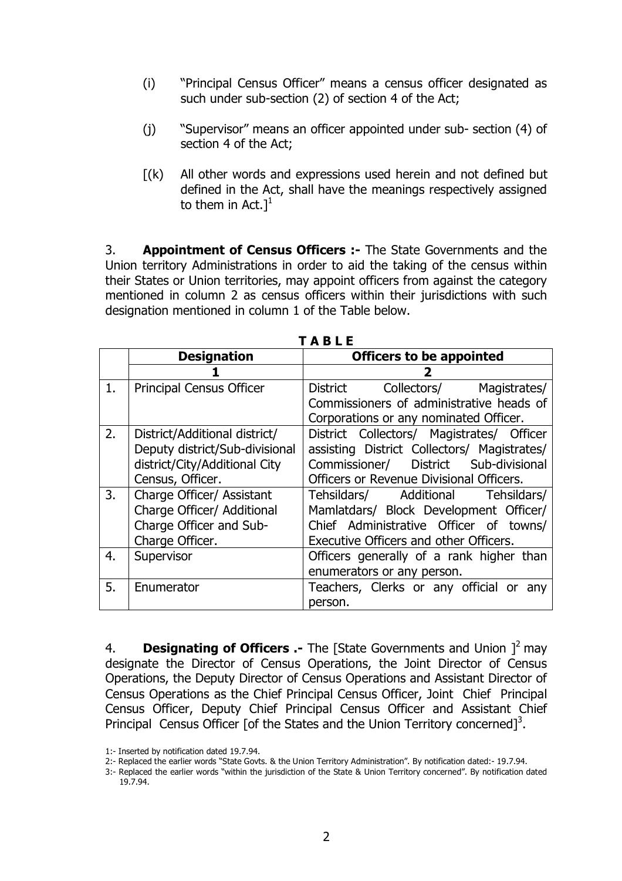- (i) "Principal Census Officer" means a census officer designated as such under sub-section (2) of section 4 of the Act;
- $(i)$  "Supervisor" means an officer appointed under sub- section  $(4)$  of section 4 of the Act;
- $[(k)]$  All other words and expressions used herein and not defined but defined in the Act, shall have the meanings respectively assigned to them in Act. $]^{1}$

3. **Appointment of Census Officers :-** The State Governments and the Union territory Administrations in order to aid the taking of the census within their States or Union territories, may appoint officers from against the category mentioned in column 2 as census officers within their jurisdictions with such designation mentioned in column 1 of the Table below.

|    |                                 | IABLE                                       |
|----|---------------------------------|---------------------------------------------|
|    | <b>Designation</b>              | <b>Officers to be appointed</b>             |
|    |                                 |                                             |
| 1. | <b>Principal Census Officer</b> | Collectors/ Magistrates/<br>District        |
|    |                                 | Commissioners of administrative heads of    |
|    |                                 | Corporations or any nominated Officer.      |
| 2. | District/Additional district/   | District Collectors/ Magistrates/ Officer   |
|    | Deputy district/Sub-divisional  | assisting District Collectors/ Magistrates/ |
|    | district/City/Additional City   | Commissioner/ District Sub-divisional       |
|    | Census, Officer.                | Officers or Revenue Divisional Officers.    |
| 3. | Charge Officer/ Assistant       | Tehsildars/ Additional Tehsildars/          |
|    | Charge Officer/ Additional      | Mamlatdars/ Block Development Officer/      |
|    | Charge Officer and Sub-         | Chief Administrative Officer of towns/      |
|    | Charge Officer.                 | Executive Officers and other Officers.      |
| 4. | Supervisor                      | Officers generally of a rank higher than    |
|    |                                 | enumerators or any person.                  |
| 5. | Enumerator                      | Teachers, Clerks or any official or<br>anv  |
|    |                                 | person.                                     |

**T A B L E** 

4. **Designating of Officers .-** The [State Governments and Union 1<sup>2</sup> may designate the Director of Census Operations, the Joint Director of Census Operations, the Deputy Director of Census Operations and Assistant Director of Census Operations as the Chief Principal Census Officer, Joint Chief Principal Census Officer, Deputy Chief Principal Census Officer and Assistant Chief Principal Census Officer [of the States and the Union Territory concerned]<sup>3</sup>.

<sup>1:-</sup> Inserted by notification dated 19.7.94.

<sup>2:-</sup> Replaced the earlier words "State Govts. & the Union Territory Administration". By notification dated:- 19.7.94.

<sup>3:-</sup> Replaced the earlier words "within the jurisdiction of the State & Union Territory concerned". By notification dated 19.7.94.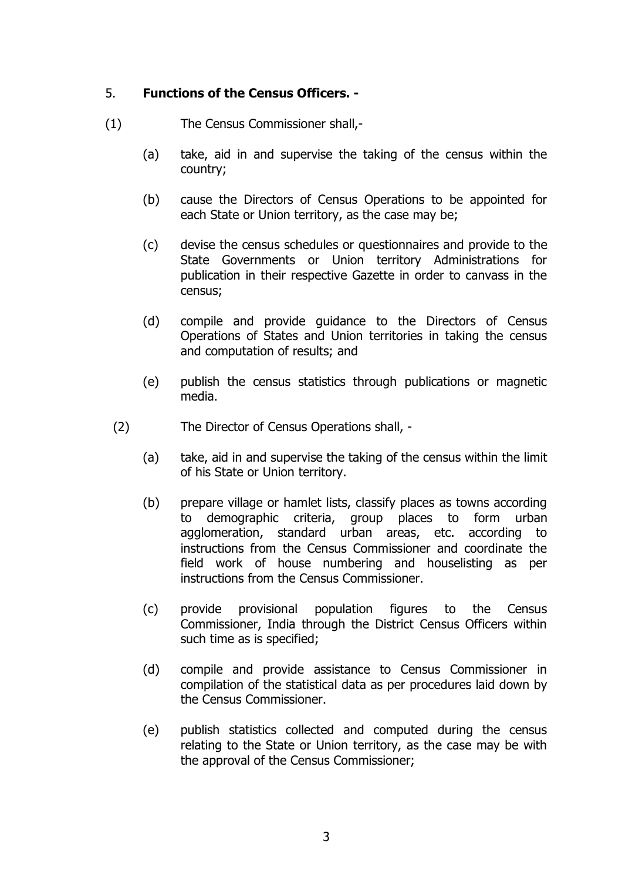## 5. **Functions of the Census Officers. -**

- (1) The Census Commissioner shall,-
	- (a) take, aid in and supervise the taking of the census within the country;
	- (b) cause the Directors of Census Operations to be appointed for each State or Union territory, as the case may be;
	- (c) devise the census schedules or questionnaires and provide to the State Governments or Union territory Administrations for publication in their respective Gazette in order to canvass in the census;
	- (d) compile and provide guidance to the Directors of Census Operations of States and Union territories in taking the census and computation of results; and
	- (e) publish the census statistics through publications or magnetic media.
	- (2) The Director of Census Operations shall,
		- (a) take, aid in and supervise the taking of the census within the limit of his State or Union territory.
		- (b) prepare village or hamlet lists, classify places as towns according to demographic criteria, group places to form urban agglomeration, standard urban areas, etc. according to instructions from the Census Commissioner and coordinate the field work of house numbering and houselisting as per instructions from the Census Commissioner.
		- (c) provide provisional population figures to the Census Commissioner, India through the District Census Officers within such time as is specified;
		- (d) compile and provide assistance to Census Commissioner in compilation of the statistical data as per procedures laid down by the Census Commissioner.
		- (e) publish statistics collected and computed during the census relating to the State or Union territory, as the case may be with the approval of the Census Commissioner;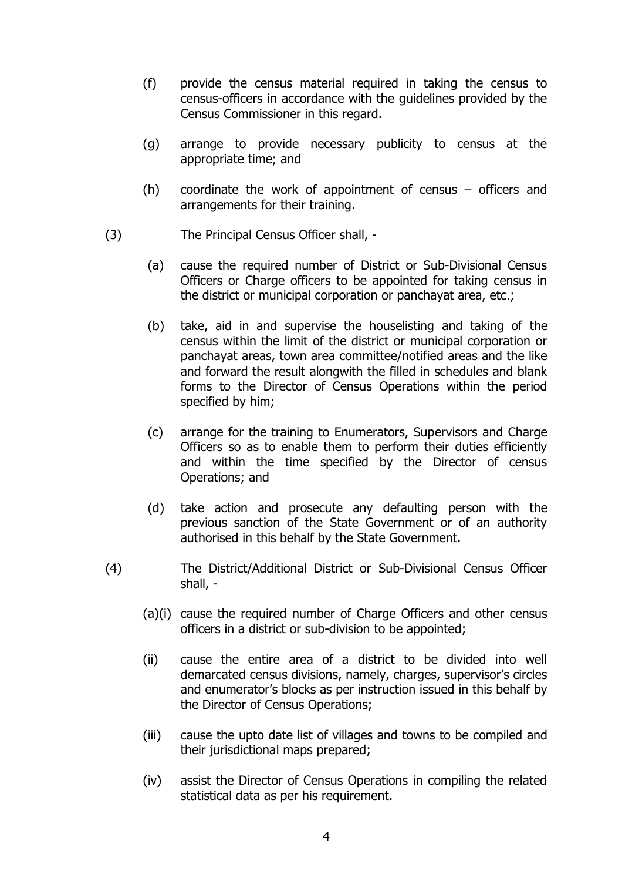- (f) provide the census material required in taking the census to census-officers in accordance with the guidelines provided by the Census Commissioner in this regard.
- (g) arrange to provide necessary publicity to census at the appropriate time; and
- (h) coordinate the work of appointment of census  $-$  officers and arrangements for their training.
- (3) The Principal Census Officer shall,
	- (a) cause the required number of District or Sub-Divisional Census Officers or Charge officers to be appointed for taking census in the district or municipal corporation or panchayat area, etc.;
	- (b) take, aid in and supervise the houselisting and taking of the census within the limit of the district or municipal corporation or panchayat areas, town area committee/notified areas and the like and forward the result alongwith the filled in schedules and blank forms to the Director of Census Operations within the period specified by him;
	- (c) arrange for the training to Enumerators, Supervisors and Charge Officers so as to enable them to perform their duties efficiently and within the time specified by the Director of census Operations; and
	- (d) take action and prosecute any defaulting person with the previous sanction of the State Government or of an authority authorised in this behalf by the State Government.
- (4) The District/Additional District or Sub-Divisional Census Officer shall, -
	- (a)(i) cause the required number of Charge Officers and other census officers in a district or sub-division to be appointed;
	- (ii) cause the entire area of a district to be divided into well demarcated census divisions, namely, charges, supervisor's circles and enumerator's blocks as per instruction issued in this behalf by the Director of Census Operations;
	- (iii) cause the upto date list of villages and towns to be compiled and their jurisdictional maps prepared;
	- (iv) assist the Director of Census Operations in compiling the related statistical data as per his requirement.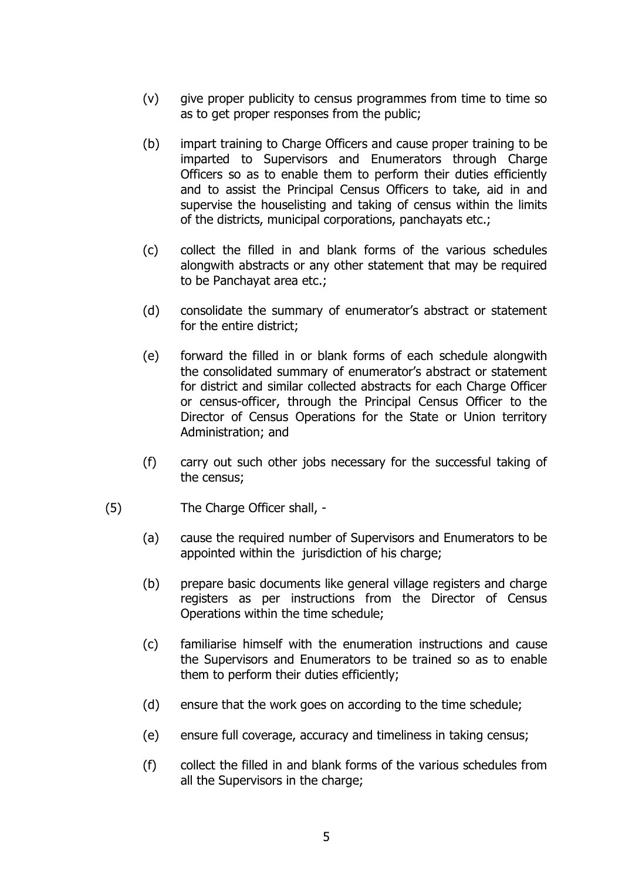- (v) give proper publicity to census programmes from time to time so as to get proper responses from the public;
- (b) impart training to Charge Officers and cause proper training to be imparted to Supervisors and Enumerators through Charge Officers so as to enable them to perform their duties efficiently and to assist the Principal Census Officers to take, aid in and supervise the houselisting and taking of census within the limits of the districts, municipal corporations, panchayats etc.;
- (c) collect the filled in and blank forms of the various schedules alongwith abstracts or any other statement that may be required to be Panchayat area etc.;
- (d) consolidate the summary of enumerator's abstract or statement for the entire district;
- (e) forward the filled in or blank forms of each schedule alongwith the consolidated summary of enumerator's abstract or statement for district and similar collected abstracts for each Charge Officer or census-officer, through the Principal Census Officer to the Director of Census Operations for the State or Union territory Administration; and
- (f) carry out such other jobs necessary for the successful taking of the census;
- (5) The Charge Officer shall,
	- (a) cause the required number of Supervisors and Enumerators to be appointed within the jurisdiction of his charge;
	- (b) prepare basic documents like general village registers and charge registers as per instructions from the Director of Census Operations within the time schedule;
	- (c) familiarise himself with the enumeration instructions and cause the Supervisors and Enumerators to be trained so as to enable them to perform their duties efficiently;
	- (d) ensure that the work goes on according to the time schedule;
	- (e) ensure full coverage, accuracy and timeliness in taking census;
	- (f) collect the filled in and blank forms of the various schedules from all the Supervisors in the charge;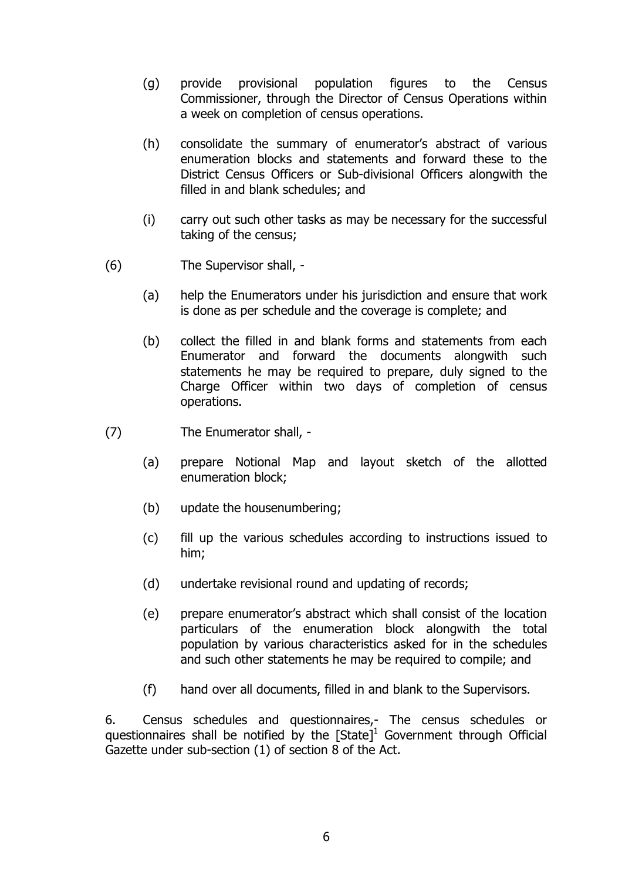- (g) provide provisional population figures to the Census Commissioner, through the Director of Census Operations within a week on completion of census operations.
- (h) consolidate the summary of enumerator's abstract of various enumeration blocks and statements and forward these to the District Census Officers or Sub-divisional Officers alongwith the filled in and blank schedules; and
- (i) carry out such other tasks as may be necessary for the successful taking of the census;
- (6) The Supervisor shall,
	- (a) help the Enumerators under his jurisdiction and ensure that work is done as per schedule and the coverage is complete; and
	- (b) collect the filled in and blank forms and statements from each Enumerator and forward the documents alongwith such statements he may be required to prepare, duly signed to the Charge Officer within two days of completion of census operations.
- (7) The Enumerator shall,
	- (a) prepare Notional Map and layout sketch of the allotted enumeration block;
	- (b) update the housenumbering;
	- (c) fill up the various schedules according to instructions issued to him;
	- (d) undertake revisional round and updating of records;
	- (e) prepare enumeratorís abstract which shall consist of the location particulars of the enumeration block alongwith the total population by various characteristics asked for in the schedules and such other statements he may be required to compile; and
	- (f) hand over all documents, filled in and blank to the Supervisors.

6. Census schedules and questionnaires,- The census schedules or questionnaires shall be notified by the  $[State]^1$  Government through Official Gazette under sub-section (1) of section 8 of the Act.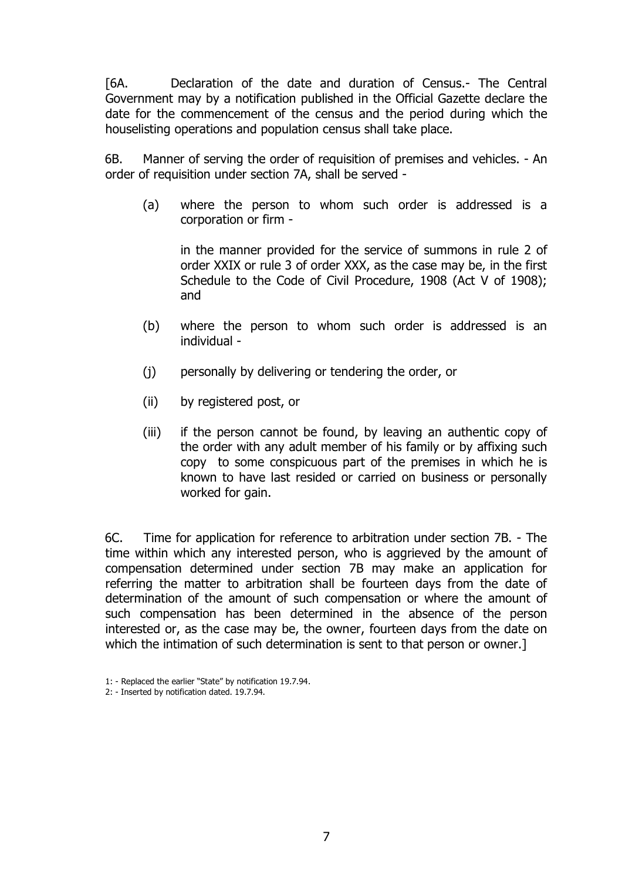[6A. Declaration of the date and duration of Census.- The Central Government may by a notification published in the Official Gazette declare the date for the commencement of the census and the period during which the houselisting operations and population census shall take place.

 6B. Manner of serving the order of requisition of premises and vehicles. - An order of requisition under section 7A, shall be served -

(a) where the person to whom such order is addressed is a corporation or firm -

in the manner provided for the service of summons in rule 2 of order XXIX or rule 3 of order XXX, as the case may be, in the first Schedule to the Code of Civil Procedure, 1908 (Act V of 1908); and

- (b) where the person to whom such order is addressed is an individual -
- (j) personally by delivering or tendering the order, or
- (ii) by registered post, or
- (iii) if the person cannot be found, by leaving an authentic copy of the order with any adult member of his family or by affixing such copy to some conspicuous part of the premises in which he is known to have last resided or carried on business or personally worked for gain.

 6C. Time for application for reference to arbitration under section 7B. - The time within which any interested person, who is aggrieved by the amount of compensation determined under section 7B may make an application for referring the matter to arbitration shall be fourteen days from the date of determination of the amount of such compensation or where the amount of such compensation has been determined in the absence of the person interested or, as the case may be, the owner, fourteen days from the date on which the intimation of such determination is sent to that person or owner.]

<sup>1: -</sup> Replaced the earlier "State" by notification 19.7.94.

<sup>2: -</sup> Inserted by notification dated. 19.7.94.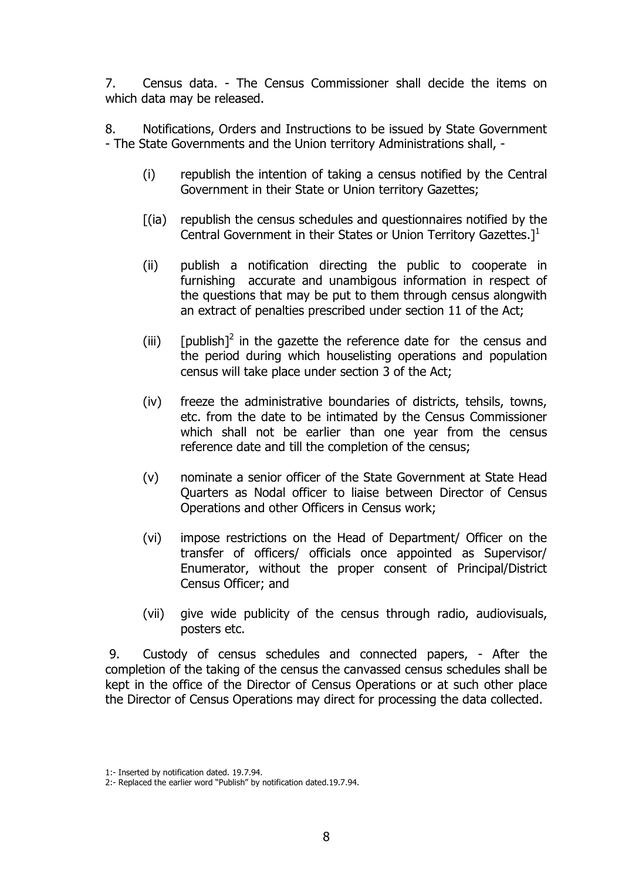7. Census data. - The Census Commissioner shall decide the items on which data may be released.

8. Notifications, Orders and Instructions to be issued by State Government - The State Governments and the Union territory Administrations shall, -

- (i) republish the intention of taking a census notified by the Central Government in their State or Union territory Gazettes;
- [(ia) republish the census schedules and questionnaires notified by the Central Government in their States or Union Territory Gazettes. $l<sup>1</sup>$
- (ii) publish a notification directing the public to cooperate in furnishing accurate and unambigous information in respect of the questions that may be put to them through census alongwith an extract of penalties prescribed under section 11 of the Act;
- (iii) [publish]<sup>2</sup> in the gazette the reference date for the census and the period during which houselisting operations and population census will take place under section 3 of the Act;
- (iv) freeze the administrative boundaries of districts, tehsils, towns, etc. from the date to be intimated by the Census Commissioner which shall not be earlier than one year from the census reference date and till the completion of the census;
- (v) nominate a senior officer of the State Government at State Head Quarters as Nodal officer to liaise between Director of Census Operations and other Officers in Census work;
- (vi) impose restrictions on the Head of Department/ Officer on the transfer of officers/ officials once appointed as Supervisor/ Enumerator, without the proper consent of Principal/District Census Officer; and
- (vii) give wide publicity of the census through radio, audiovisuals, posters etc.

 9. Custody of census schedules and connected papers, - After the completion of the taking of the census the canvassed census schedules shall be kept in the office of the Director of Census Operations or at such other place the Director of Census Operations may direct for processing the data collected.

<sup>1:-</sup> Inserted by notification dated. 19.7.94.

<sup>2:-</sup> Replaced the earlier word "Publish" by notification dated.19.7.94.